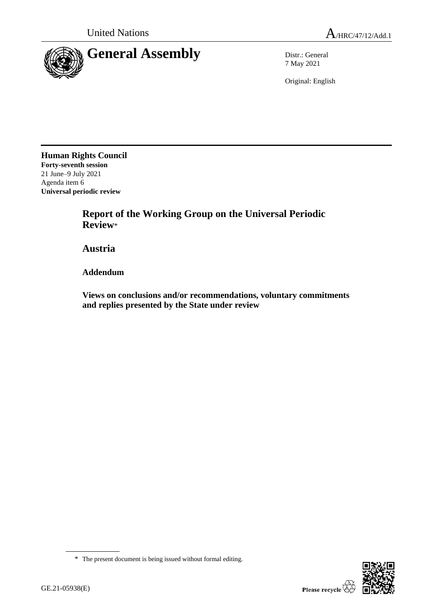

7 May 2021

Original: English

**Human Rights Council Forty-seventh session** 21 June–9 July 2021 Agenda item 6 **Universal periodic review**

> **Report of the Working Group on the Universal Periodic Review**\*

**Austria**

**Addendum**

**Views on conclusions and/or recommendations, voluntary commitments and replies presented by the State under review**



<sup>\*</sup> The present document is being issued without formal editing.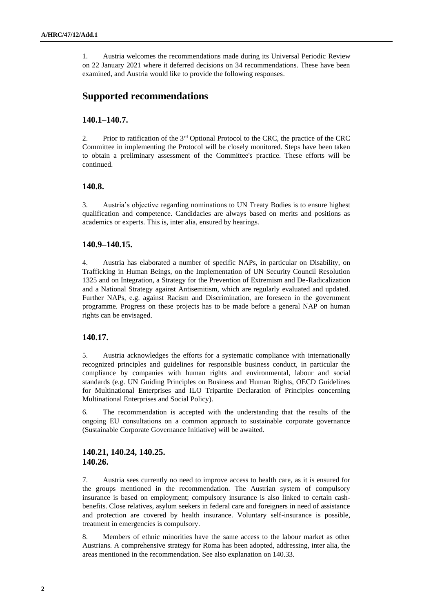1. Austria welcomes the recommendations made during its Universal Periodic Review on 22 January 2021 where it deferred decisions on 34 recommendations. These have been examined, and Austria would like to provide the following responses.

## **Supported recommendations**

### **140.1–140.7.**

2. Prior to ratification of the 3rd Optional Protocol to the CRC, the practice of the CRC Committee in implementing the Protocol will be closely monitored. Steps have been taken to obtain a preliminary assessment of the Committee's practice. These efforts will be continued.

### **140.8.**

3. Austria's objective regarding nominations to UN Treaty Bodies is to ensure highest qualification and competence. Candidacies are always based on merits and positions as academics or experts. This is, inter alia, ensured by hearings.

### **140.9–140.15.**

4. Austria has elaborated a number of specific NAPs, in particular on Disability, on Trafficking in Human Beings, on the Implementation of UN Security Council Resolution 1325 and on Integration, a Strategy for the Prevention of Extremism and De-Radicalization and a National Strategy against Antisemitism, which are regularly evaluated and updated. Further NAPs, e.g. against Racism and Discrimination, are foreseen in the government programme. Progress on these projects has to be made before a general NAP on human rights can be envisaged.

#### **140.17.**

5. Austria acknowledges the efforts for a systematic compliance with internationally recognized principles and guidelines for responsible business conduct, in particular the compliance by companies with human rights and environmental, labour and social standards (e.g. UN Guiding Principles on Business and Human Rights, OECD Guidelines for Multinational Enterprises and ILO Tripartite Declaration of Principles concerning Multinational Enterprises and Social Policy).

6. The recommendation is accepted with the understanding that the results of the ongoing EU consultations on a common approach to sustainable corporate governance (Sustainable Corporate Governance Initiative) will be awaited.

### **140.21, 140.24, 140.25. 140.26.**

7. Austria sees currently no need to improve access to health care, as it is ensured for the groups mentioned in the recommendation. The Austrian system of compulsory insurance is based on employment; compulsory insurance is also linked to certain cashbenefits. Close relatives, asylum seekers in federal care and foreigners in need of assistance and protection are covered by health insurance. Voluntary self-insurance is possible, treatment in emergencies is compulsory.

8. Members of ethnic minorities have the same access to the labour market as other Austrians. A comprehensive strategy for Roma has been adopted, addressing, inter alia, the areas mentioned in the recommendation. See also explanation on 140.33.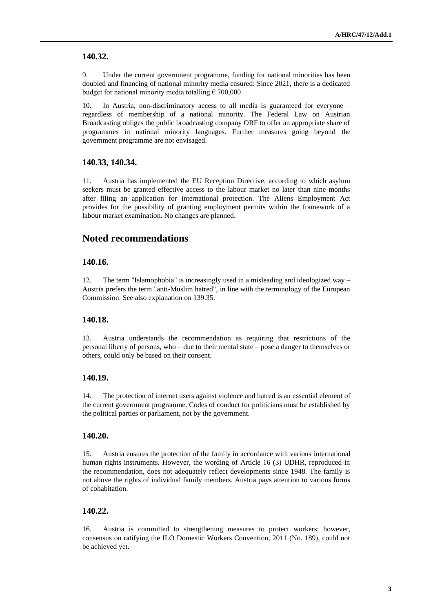### **140.32.**

9. Under the current government programme, funding for national minorities has been doubled and financing of national minority media ensured: Since 2021, there is a dedicated budget for national minority media totalling  $\epsilon$  700,000.

10. In Austria, non-discriminatory access to all media is guaranteed for everyone – regardless of membership of a national minority. The Federal Law on Austrian Broadcasting obliges the public broadcasting company ORF to offer an appropriate share of programmes in national minority languages. Further measures going beyond the government programme are not envisaged.

#### **140.33, 140.34.**

11. Austria has implemented the EU Reception Directive, according to which asylum seekers must be granted effective access to the labour market no later than nine months after filing an application for international protection. The Aliens Employment Act provides for the possibility of granting employment permits within the framework of a labour market examination. No changes are planned.

## **Noted recommendations**

### **140.16.**

12. The term "Islamophobia" is increasingly used in a misleading and ideologized way – Austria prefers the term "anti-Muslim hatred", in line with the terminology of the European Commission. See also explanation on 139.35.

#### **140.18.**

13. Austria understands the recommendation as requiring that restrictions of the personal liberty of persons, who – due to their mental state – pose a danger to themselves or others, could only be based on their consent.

### **140.19.**

14. The protection of internet users against violence and hatred is an essential element of the current government programme. Codes of conduct for politicians must be established by the political parties or parliament, not by the government.

#### **140.20.**

15. Austria ensures the protection of the family in accordance with various international human rights instruments. However, the wording of Article 16 (3) UDHR, reproduced in the recommendation, does not adequately reflect developments since 1948. The family is not above the rights of individual family members. Austria pays attention to various forms of cohabitation.

### **140.22.**

16. Austria is committed to strengthening measures to protect workers; however, consensus on ratifying the ILO Domestic Workers Convention, 2011 (No. 189), could not be achieved yet.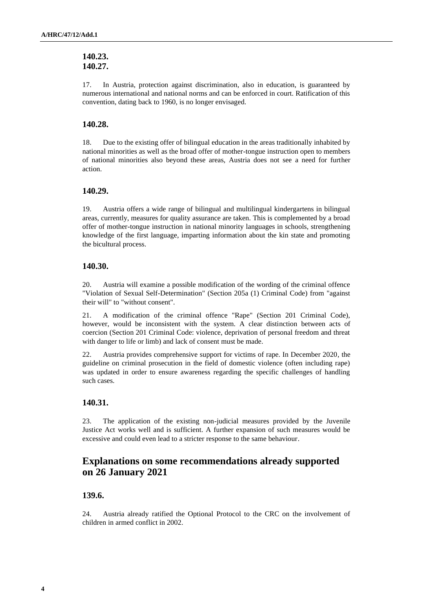### **140.23. 140.27.**

17. In Austria, protection against discrimination, also in education, is guaranteed by numerous international and national norms and can be enforced in court. Ratification of this convention, dating back to 1960, is no longer envisaged.

### **140.28.**

18. Due to the existing offer of bilingual education in the areas traditionally inhabited by national minorities as well as the broad offer of mother-tongue instruction open to members of national minorities also beyond these areas, Austria does not see a need for further action.

### **140.29.**

19. Austria offers a wide range of bilingual and multilingual kindergartens in bilingual areas, currently, measures for quality assurance are taken. This is complemented by a broad offer of mother-tongue instruction in national minority languages in schools, strengthening knowledge of the first language, imparting information about the kin state and promoting the bicultural process.

### **140.30.**

20. Austria will examine a possible modification of the wording of the criminal offence "Violation of Sexual Self-Determination" (Section 205a (1) Criminal Code) from "against their will" to "without consent".

21. A modification of the criminal offence "Rape" (Section 201 Criminal Code), however, would be inconsistent with the system. A clear distinction between acts of coercion (Section 201 Criminal Code: violence, deprivation of personal freedom and threat with danger to life or limb) and lack of consent must be made.

22. Austria provides comprehensive support for victims of rape. In December 2020, the guideline on criminal prosecution in the field of domestic violence (often including rape) was updated in order to ensure awareness regarding the specific challenges of handling such cases.

### **140.31.**

23. The application of the existing non-judicial measures provided by the Juvenile Justice Act works well and is sufficient. A further expansion of such measures would be excessive and could even lead to a stricter response to the same behaviour.

# **Explanations on some recommendations already supported on 26 January 2021**

### **139.6.**

24. Austria already ratified the Optional Protocol to the CRC on the involvement of children in armed conflict in 2002.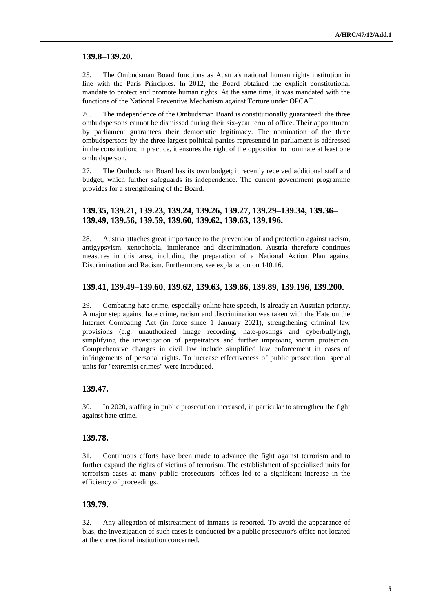### **139.8–139.20.**

25. The Ombudsman Board functions as Austria's national human rights institution in line with the Paris Principles. In 2012, the Board obtained the explicit constitutional mandate to protect and promote human rights. At the same time, it was mandated with the functions of the National Preventive Mechanism against Torture under OPCAT.

26. The independence of the Ombudsman Board is constitutionally guaranteed: the three ombudspersons cannot be dismissed during their six-year term of office. Their appointment by parliament guarantees their democratic legitimacy. The nomination of the three ombudspersons by the three largest political parties represented in parliament is addressed in the constitution; in practice, it ensures the right of the opposition to nominate at least one ombudsperson.

27. The Ombudsman Board has its own budget; it recently received additional staff and budget, which further safeguards its independence. The current government programme provides for a strengthening of the Board.

### **139.35, 139.21, 139.23, 139.24, 139.26, 139.27, 139.29–139.34, 139.36– 139.49, 139.56, 139.59, 139.60, 139.62, 139.63, 139.196.**

28. Austria attaches great importance to the prevention of and protection against racism, antigypsyism, xenophobia, intolerance and discrimination. Austria therefore continues measures in this area, including the preparation of a National Action Plan against Discrimination and Racism. Furthermore, see explanation on 140.16.

#### **139.41, 139.49–139.60, 139.62, 139.63, 139.86, 139.89, 139.196, 139.200.**

29. Combating hate crime, especially online hate speech, is already an Austrian priority. A major step against hate crime, racism and discrimination was taken with the Hate on the Internet Combating Act (in force since 1 January 2021), strengthening criminal law provisions (e.g. unauthorized image recording, hate-postings and cyberbullying), simplifying the investigation of perpetrators and further improving victim protection. Comprehensive changes in civil law include simplified law enforcement in cases of infringements of personal rights. To increase effectiveness of public prosecution, special units for "extremist crimes" were introduced.

### **139.47.**

30. In 2020, staffing in public prosecution increased, in particular to strengthen the fight against hate crime.

#### **139.78.**

31. Continuous efforts have been made to advance the fight against terrorism and to further expand the rights of victims of terrorism. The establishment of specialized units for terrorism cases at many public prosecutors' offices led to a significant increase in the efficiency of proceedings.

### **139.79.**

32. Any allegation of mistreatment of inmates is reported. To avoid the appearance of bias, the investigation of such cases is conducted by a public prosecutor's office not located at the correctional institution concerned.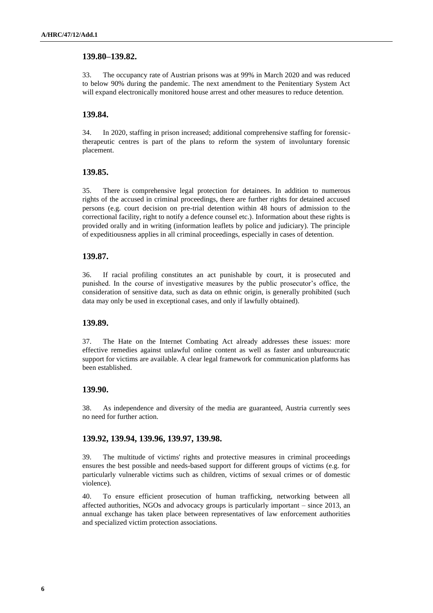### **139.80–139.82.**

33. The occupancy rate of Austrian prisons was at 99% in March 2020 and was reduced to below 90% during the pandemic. The next amendment to the Penitentiary System Act will expand electronically monitored house arrest and other measures to reduce detention.

### **139.84.**

34. In 2020, staffing in prison increased; additional comprehensive staffing for forensictherapeutic centres is part of the plans to reform the system of involuntary forensic placement.

### **139.85.**

35. There is comprehensive legal protection for detainees. In addition to numerous rights of the accused in criminal proceedings, there are further rights for detained accused persons (e.g. court decision on pre-trial detention within 48 hours of admission to the correctional facility, right to notify a defence counsel etc.). Information about these rights is provided orally and in writing (information leaflets by police and judiciary). The principle of expeditiousness applies in all criminal proceedings, especially in cases of detention.

### **139.87.**

36. If racial profiling constitutes an act punishable by court, it is prosecuted and punished. In the course of investigative measures by the public prosecutor's office, the consideration of sensitive data, such as data on ethnic origin, is generally prohibited (such data may only be used in exceptional cases, and only if lawfully obtained).

### **139.89.**

37. The Hate on the Internet Combating Act already addresses these issues: more effective remedies against unlawful online content as well as faster and unbureaucratic support for victims are available. A clear legal framework for communication platforms has been established.

## **139.90.**

38. As independence and diversity of the media are guaranteed, Austria currently sees no need for further action.

#### **139.92, 139.94, 139.96, 139.97, 139.98.**

39. The multitude of victims' rights and protective measures in criminal proceedings ensures the best possible and needs-based support for different groups of victims (e.g. for particularly vulnerable victims such as children, victims of sexual crimes or of domestic violence).

40. To ensure efficient prosecution of human trafficking, networking between all affected authorities, NGOs and advocacy groups is particularly important – since 2013, an annual exchange has taken place between representatives of law enforcement authorities and specialized victim protection associations.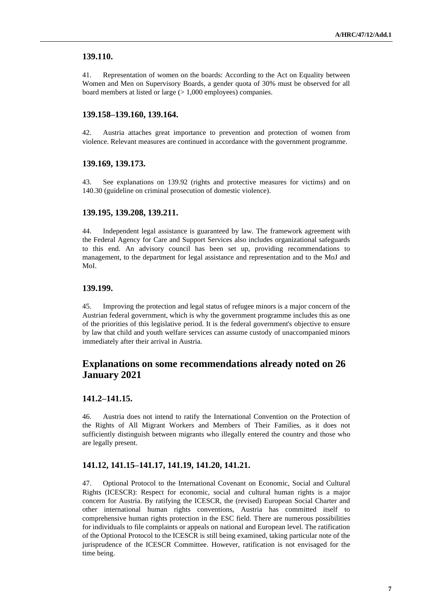### **139.110.**

41. Representation of women on the boards: According to the Act on Equality between Women and Men on Supervisory Boards, a gender quota of 30% must be observed for all board members at listed or large (> 1,000 employees) companies.

### **139.158–139.160, 139.164.**

42. Austria attaches great importance to prevention and protection of women from violence. Relevant measures are continued in accordance with the government programme.

### **139.169, 139.173.**

43. See explanations on 139.92 (rights and protective measures for victims) and on 140.30 (guideline on criminal prosecution of domestic violence).

#### **139.195, 139.208, 139.211.**

44. Independent legal assistance is guaranteed by law. The framework agreement with the Federal Agency for Care and Support Services also includes organizational safeguards to this end. An advisory council has been set up, providing recommendations to management, to the department for legal assistance and representation and to the MoJ and MoI.

### **139.199.**

45. Improving the protection and legal status of refugee minors is a major concern of the Austrian federal government, which is why the government programme includes this as one of the priorities of this legislative period. It is the federal government's objective to ensure by law that child and youth welfare services can assume custody of unaccompanied minors immediately after their arrival in Austria.

# **Explanations on some recommendations already noted on 26 January 2021**

#### **141.2–141.15.**

46. Austria does not intend to ratify the International Convention on the Protection of the Rights of All Migrant Workers and Members of Their Families, as it does not sufficiently distinguish between migrants who illegally entered the country and those who are legally present.

### **141.12, 141.15–141.17, 141.19, 141.20, 141.21.**

47. Optional Protocol to the International Covenant on Economic, Social and Cultural Rights (ICESCR): Respect for economic, social and cultural human rights is a major concern for Austria. By ratifying the ICESCR, the (revised) European Social Charter and other international human rights conventions, Austria has committed itself to comprehensive human rights protection in the ESC field. There are numerous possibilities for individuals to file complaints or appeals on national and European level. The ratification of the Optional Protocol to the ICESCR is still being examined, taking particular note of the jurisprudence of the ICESCR Committee. However, ratification is not envisaged for the time being.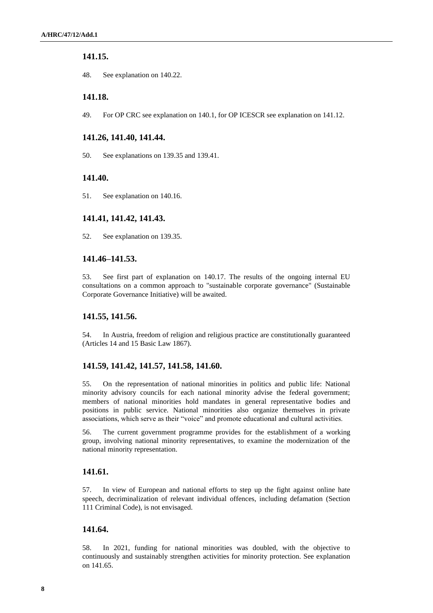### **141.15.**

48. See explanation on 140.22.

### **141.18.**

49. For OP CRC see explanation on 140.1, for OP ICESCR see explanation on 141.12.

### **141.26, 141.40, 141.44.**

50. See explanations on 139.35 and 139.41.

### **141.40.**

51. See explanation on 140.16.

### **141.41, 141.42, 141.43.**

52. See explanation on 139.35.

### **141.46–141.53.**

53. See first part of explanation on 140.17. The results of the ongoing internal EU consultations on a common approach to "sustainable corporate governance" (Sustainable Corporate Governance Initiative) will be awaited.

#### **141.55, 141.56.**

54. In Austria, freedom of religion and religious practice are constitutionally guaranteed (Articles 14 and 15 Basic Law 1867).

### **141.59, 141.42, 141.57, 141.58, 141.60.**

55. On the representation of national minorities in politics and public life: National minority advisory councils for each national minority advise the federal government; members of national minorities hold mandates in general representative bodies and positions in public service. National minorities also organize themselves in private associations, which serve as their "voice" and promote educational and cultural activities.

56. The current government programme provides for the establishment of a working group, involving national minority representatives, to examine the modernization of the national minority representation.

### **141.61.**

57. In view of European and national efforts to step up the fight against online hate speech, decriminalization of relevant individual offences, including defamation (Section 111 Criminal Code), is not envisaged.

### **141.64.**

58. In 2021, funding for national minorities was doubled, with the objective to continuously and sustainably strengthen activities for minority protection. See explanation on 141.65.